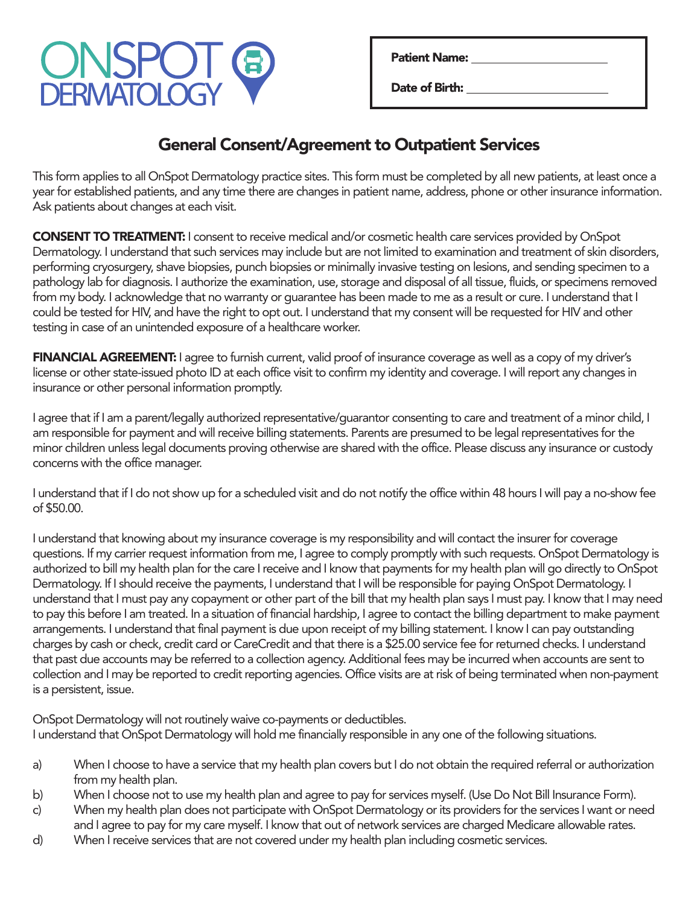

Date of Birth:

## General Consent/Agreement to Outpatient Services

This form applies to all OnSpot Dermatology practice sites. This form must be completed by all new patients, at least once a year for established patients, and any time there are changes in patient name, address, phone or other insurance information. Ask patients about changes at each visit.

**CONSENT TO TREATMENT:** I consent to receive medical and/or cosmetic health care services provided by OnSpot Dermatology. I understand that such services may include but are not limited to examination and treatment of skin disorders, performing cryosurgery, shave biopsies, punch biopsies or minimally invasive testing on lesions, and sending specimen to a pathology lab for diagnosis. I authorize the examination, use, storage and disposal of all tissue, fluids, or specimens removed from my body. I acknowledge that no warranty or guarantee has been made to me as a result or cure. I understand that I could be tested for HIV, and have the right to opt out. I understand that my consent will be requested for HIV and other testing in case of an unintended exposure of a healthcare worker.

FINANCIAL AGREEMENT: I agree to furnish current, valid proof of insurance coverage as well as a copy of my driver's license or other state-issued photo ID at each office visit to confirm my identity and coverage. I will report any changes in insurance or other personal information promptly.

I agree that if I am a parent/legally authorized representative/guarantor consenting to care and treatment of a minor child, I am responsible for payment and will receive billing statements. Parents are presumed to be legal representatives for the minor children unless legal documents proving otherwise are shared with the office. Please discuss any insurance or custody concerns with the office manager.

I understand that if I do not show up for a scheduled visit and do not notify the office within 48 hours I will pay a no-show fee of \$50.00.

I understand that knowing about my insurance coverage is my responsibility and will contact the insurer for coverage questions. If my carrier request information from me, I agree to comply promptly with such requests. OnSpot Dermatology is authorized to bill my health plan for the care I receive and I know that payments for my health plan will go directly to OnSpot Dermatology. If I should receive the payments, I understand that I will be responsible for paying OnSpot Dermatology. I understand that I must pay any copayment or other part of the bill that my health plan says I must pay. I know that I may need to pay this before I am treated. In a situation of financial hardship, I agree to contact the billing department to make payment arrangements. I understand that final payment is due upon receipt of my billing statement. I know I can pay outstanding charges by cash or check, credit card or CareCredit and that there is a \$25.00 service fee for returned checks. I understand that past due accounts may be referred to a collection agency. Additional fees may be incurred when accounts are sent to collection and I may be reported to credit reporting agencies. Office visits are at risk of being terminated when non-payment is a persistent, issue.

OnSpot Dermatology will not routinely waive co-payments or deductibles. I understand that OnSpot Dermatology will hold me financially responsible in any one of the following situations.

- a) When I choose to have a service that my health plan covers but I do not obtain the required referral or authorization from my health plan.
- b) When I choose not to use my health plan and agree to pay for services myself. (Use Do Not Bill Insurance Form).
- c) When my health plan does not participate with OnSpot Dermatology or its providers for the services I want or need and I agree to pay for my care myself. I know that out of network services are charged Medicare allowable rates.
- d) When I receive services that are not covered under my health plan including cosmetic services.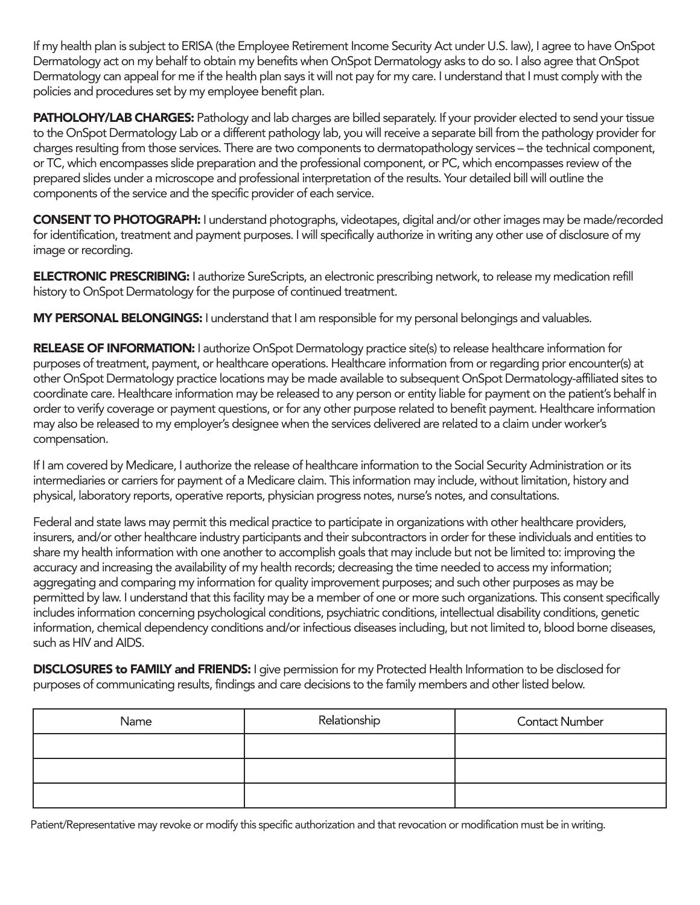If my health plan is subject to ERISA (the Employee Retirement Income Security Act under U.S. law), I agree to have OnSpot Dermatology act on my behalf to obtain my benefits when OnSpot Dermatology asks to do so. I also agree that OnSpot Dermatology can appeal for me if the health plan says it will not pay for my care. I understand that I must comply with the policies and procedures set by my employee benefit plan.

PATHOLOHY/LAB CHARGES: Pathology and lab charges are billed separately. If your provider elected to send your tissue to the OnSpot Dermatology Lab or a different pathology lab, you will receive a separate bill from the pathology provider for charges resulting from those services. There are two components to dermatopathology services – the technical component, or TC, which encompasses slide preparation and the professional component, or PC, which encompasses review of the prepared slides under a microscope and professional interpretation of the results. Your detailed bill will outline the components of the service and the specific provider of each service.

CONSENT TO PHOTOGRAPH: I understand photographs, videotapes, digital and/or other images may be made/recorded for identification, treatment and payment purposes. I will specifically authorize in writing any other use of disclosure of my image or recording.

ELECTRONIC PRESCRIBING: I authorize SureScripts, an electronic prescribing network, to release my medication refill history to OnSpot Dermatology for the purpose of continued treatment.

MY PERSONAL BELONGINGS: I understand that I am responsible for my personal belongings and valuables.

RELEASE OF INFORMATION: I authorize OnSpot Dermatology practice site(s) to release healthcare information for purposes of treatment, payment, or healthcare operations. Healthcare information from or regarding prior encounter(s) at other OnSpot Dermatology practice locations may be made available to subsequent OnSpot Dermatology-affiliated sites to coordinate care. Healthcare information may be released to any person or entity liable for payment on the patient's behalf in order to verify coverage or payment questions, or for any other purpose related to benefit payment. Healthcare information may also be released to my employer's designee when the services delivered are related to a claim under worker's compensation.

If I am covered by Medicare, I authorize the release of healthcare information to the Social Security Administration or its intermediaries or carriers for payment of a Medicare claim. This information may include, without limitation, history and physical, laboratory reports, operative reports, physician progress notes, nurse's notes, and consultations.

Federal and state laws may permit this medical practice to participate in organizations with other healthcare providers, insurers, and/or other healthcare industry participants and their subcontractors in order for these individuals and entities to share my health information with one another to accomplish goals that may include but not be limited to: improving the accuracy and increasing the availability of my health records; decreasing the time needed to access my information; aggregating and comparing my information for quality improvement purposes; and such other purposes as may be permitted by law. I understand that this facility may be a member of one or more such organizations. This consent specifically includes information concerning psychological conditions, psychiatric conditions, intellectual disability conditions, genetic information, chemical dependency conditions and/or infectious diseases including, but not limited to, blood borne diseases, such as HIV and AIDS.

DISCLOSURES to FAMILY and FRIENDS: I give permission for my Protected Health Information to be disclosed for purposes of communicating results, findings and care decisions to the family members and other listed below.

| Name | Relationship | <b>Contact Number</b> |
|------|--------------|-----------------------|
|      |              |                       |
|      |              |                       |
|      |              |                       |

Patient/Representative may revoke or modify this specific authorization and that revocation or modification must be in writing.